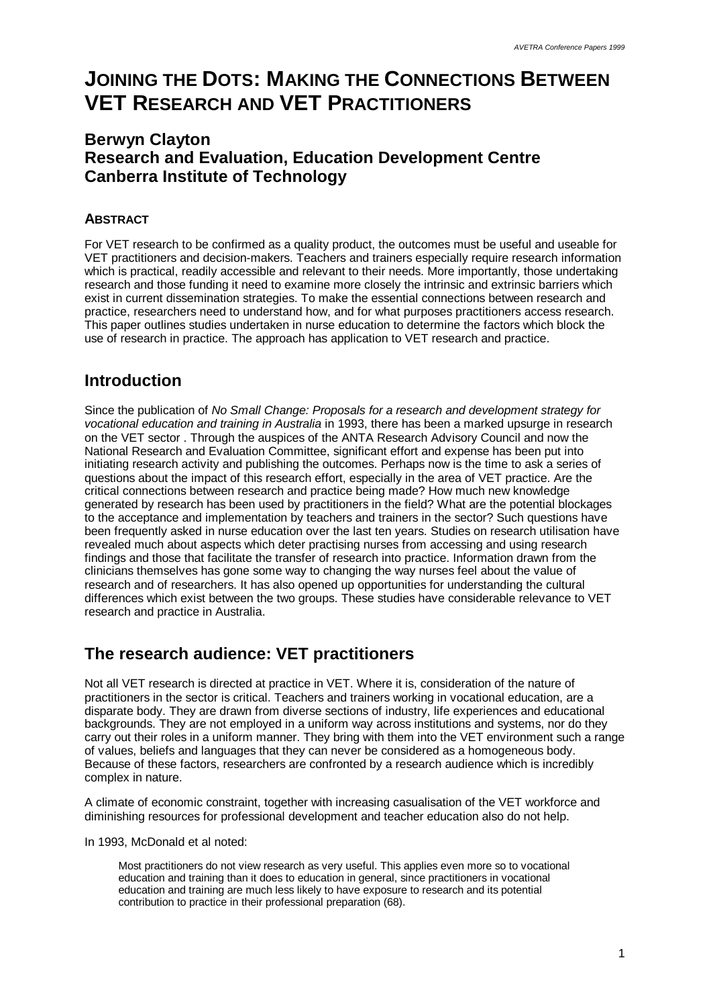# **JOINING THE DOTS: MAKING THE CONNECTIONS BETWEEN VET RESEARCH AND VET PRACTITIONERS**

## **Berwyn Clayton Research and Evaluation, Education Development Centre Canberra Institute of Technology**

#### **ABSTRACT**

For VET research to be confirmed as a quality product, the outcomes must be useful and useable for VET practitioners and decision-makers. Teachers and trainers especially require research information which is practical, readily accessible and relevant to their needs. More importantly, those undertaking research and those funding it need to examine more closely the intrinsic and extrinsic barriers which exist in current dissemination strategies. To make the essential connections between research and practice, researchers need to understand how, and for what purposes practitioners access research. This paper outlines studies undertaken in nurse education to determine the factors which block the use of research in practice. The approach has application to VET research and practice.

## **Introduction**

Since the publication of *No Small Change: Proposals for a research and development strategy for vocational education and training in Australia* in 1993, there has been a marked upsurge in research on the VET sector . Through the auspices of the ANTA Research Advisory Council and now the National Research and Evaluation Committee, significant effort and expense has been put into initiating research activity and publishing the outcomes. Perhaps now is the time to ask a series of questions about the impact of this research effort, especially in the area of VET practice. Are the critical connections between research and practice being made? How much new knowledge generated by research has been used by practitioners in the field? What are the potential blockages to the acceptance and implementation by teachers and trainers in the sector? Such questions have been frequently asked in nurse education over the last ten years. Studies on research utilisation have revealed much about aspects which deter practising nurses from accessing and using research findings and those that facilitate the transfer of research into practice. Information drawn from the clinicians themselves has gone some way to changing the way nurses feel about the value of research and of researchers. It has also opened up opportunities for understanding the cultural differences which exist between the two groups. These studies have considerable relevance to VET research and practice in Australia.

# **The research audience: VET practitioners**

Not all VET research is directed at practice in VET. Where it is, consideration of the nature of practitioners in the sector is critical. Teachers and trainers working in vocational education, are a disparate body. They are drawn from diverse sections of industry, life experiences and educational backgrounds. They are not employed in a uniform way across institutions and systems, nor do they carry out their roles in a uniform manner. They bring with them into the VET environment such a range of values, beliefs and languages that they can never be considered as a homogeneous body. Because of these factors, researchers are confronted by a research audience which is incredibly complex in nature.

A climate of economic constraint, together with increasing casualisation of the VET workforce and diminishing resources for professional development and teacher education also do not help.

In 1993, McDonald et al noted:

Most practitioners do not view research as very useful. This applies even more so to vocational education and training than it does to education in general, since practitioners in vocational education and training are much less likely to have exposure to research and its potential contribution to practice in their professional preparation (68).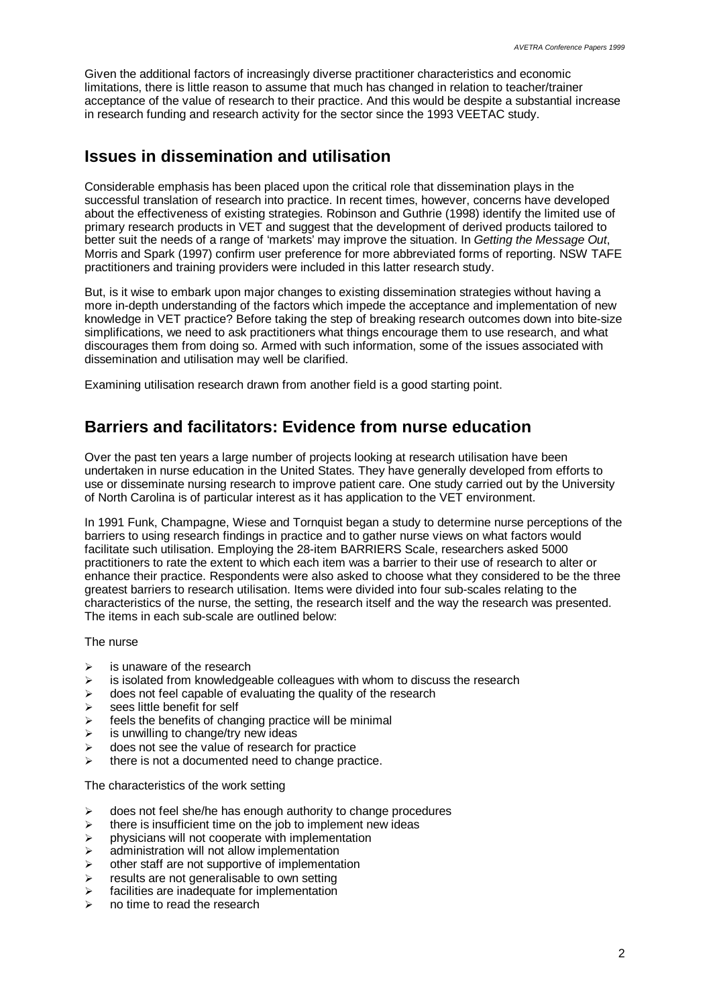Given the additional factors of increasingly diverse practitioner characteristics and economic limitations, there is little reason to assume that much has changed in relation to teacher/trainer acceptance of the value of research to their practice. And this would be despite a substantial increase in research funding and research activity for the sector since the 1993 VEETAC study.

#### **Issues in dissemination and utilisation**

Considerable emphasis has been placed upon the critical role that dissemination plays in the successful translation of research into practice. In recent times, however, concerns have developed about the effectiveness of existing strategies. Robinson and Guthrie (1998) identify the limited use of primary research products in VET and suggest that the development of derived products tailored to better suit the needs of a range of 'markets' may improve the situation. In *Getting the Message Out*, Morris and Spark (1997) confirm user preference for more abbreviated forms of reporting. NSW TAFE practitioners and training providers were included in this latter research study.

But, is it wise to embark upon major changes to existing dissemination strategies without having a more in-depth understanding of the factors which impede the acceptance and implementation of new knowledge in VET practice? Before taking the step of breaking research outcomes down into bite-size simplifications, we need to ask practitioners what things encourage them to use research, and what discourages them from doing so. Armed with such information, some of the issues associated with dissemination and utilisation may well be clarified.

Examining utilisation research drawn from another field is a good starting point.

### **Barriers and facilitators: Evidence from nurse education**

Over the past ten years a large number of projects looking at research utilisation have been undertaken in nurse education in the United States. They have generally developed from efforts to use or disseminate nursing research to improve patient care. One study carried out by the University of North Carolina is of particular interest as it has application to the VET environment.

In 1991 Funk, Champagne, Wiese and Tornquist began a study to determine nurse perceptions of the barriers to using research findings in practice and to gather nurse views on what factors would facilitate such utilisation. Employing the 28-item BARRIERS Scale, researchers asked 5000 practitioners to rate the extent to which each item was a barrier to their use of research to alter or enhance their practice. Respondents were also asked to choose what they considered to be the three greatest barriers to research utilisation. Items were divided into four sub-scales relating to the characteristics of the nurse, the setting, the research itself and the way the research was presented. The items in each sub-scale are outlined below:

The nurse

- $\geq$  is unaware of the research
- $\geq$  is isolated from knowledgeable colleagues with whom to discuss the research
- $\geq$  does not feel capable of evaluating the quality of the research
- $\triangleright$  sees little benefit for self
- $\triangleright$  feels the benefits of changing practice will be minimal
- $\geq$  is unwilling to change/try new ideas
- $\geq$  does not see the value of research for practice
- $\triangleright$  there is not a documented need to change practice.

The characteristics of the work setting

- $\geq$  does not feel she/he has enough authority to change procedures
- $\triangleright$  there is insufficient time on the job to implement new ideas
- $\triangleright$  physicians will not cooperate with implementation
- $\geq$  administration will not allow implementation
- $\geq$  other staff are not supportive of implementation
- $\ge$  results are not generalisable to own setting<br> $\ge$  facilities are inadequate for implementation
- facilities are inadequate for implementation
- no time to read the research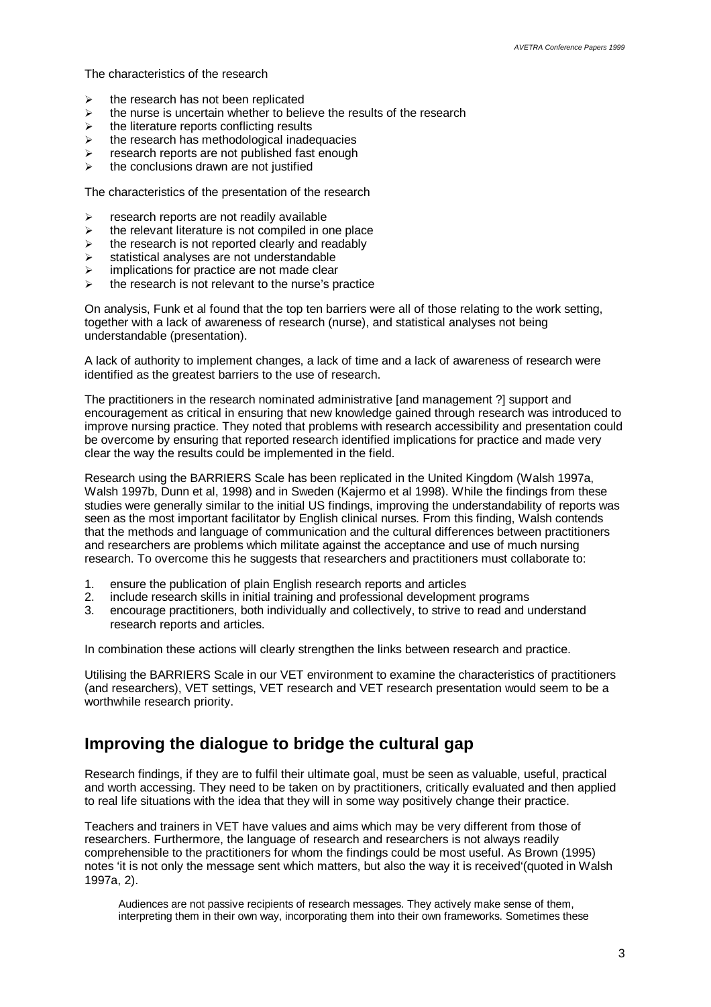The characteristics of the research

- $\triangleright$  the research has not been replicated
- $\ge$  the nurse is uncertain whether to believe the results of the research  $\ge$  the literature reports conflicting results
- the literature reports conflicting results
- $\ge$  the research has methodological inadequacies<br>  $\ge$  research reports are not published fast enough
- research reports are not published fast enough
- $\triangleright$  the conclusions drawn are not justified

The characteristics of the presentation of the research

- $\triangleright$  research reports are not readily available
- $\ge$  the relevant literature is not compiled in one place<br>  $\ge$  the research is not reported clearly and readably
- the research is not reported clearly and readably
- $\triangleright$  statistical analyses are not understandable
- $\triangleright$  implications for practice are not made clear
- $\triangleright$  the research is not relevant to the nurse's practice

On analysis, Funk et al found that the top ten barriers were all of those relating to the work setting, together with a lack of awareness of research (nurse), and statistical analyses not being understandable (presentation).

A lack of authority to implement changes, a lack of time and a lack of awareness of research were identified as the greatest barriers to the use of research.

The practitioners in the research nominated administrative [and management ?] support and encouragement as critical in ensuring that new knowledge gained through research was introduced to improve nursing practice. They noted that problems with research accessibility and presentation could be overcome by ensuring that reported research identified implications for practice and made very clear the way the results could be implemented in the field.

Research using the BARRIERS Scale has been replicated in the United Kingdom (Walsh 1997a, Walsh 1997b, Dunn et al, 1998) and in Sweden (Kajermo et al 1998). While the findings from these studies were generally similar to the initial US findings, improving the understandability of reports was seen as the most important facilitator by English clinical nurses. From this finding, Walsh contends that the methods and language of communication and the cultural differences between practitioners and researchers are problems which militate against the acceptance and use of much nursing research. To overcome this he suggests that researchers and practitioners must collaborate to:

- 1. ensure the publication of plain English research reports and articles
- 2. include research skills in initial training and professional development programs
- 3. encourage practitioners, both individually and collectively, to strive to read and understand research reports and articles.

In combination these actions will clearly strengthen the links between research and practice.

Utilising the BARRIERS Scale in our VET environment to examine the characteristics of practitioners (and researchers), VET settings, VET research and VET research presentation would seem to be a worthwhile research priority.

#### **Improving the dialogue to bridge the cultural gap**

Research findings, if they are to fulfil their ultimate goal, must be seen as valuable, useful, practical and worth accessing. They need to be taken on by practitioners, critically evaluated and then applied to real life situations with the idea that they will in some way positively change their practice.

Teachers and trainers in VET have values and aims which may be very different from those of researchers. Furthermore, the language of research and researchers is not always readily comprehensible to the practitioners for whom the findings could be most useful. As Brown (1995) notes 'it is not only the message sent which matters, but also the way it is received'(quoted in Walsh 1997a, 2).

Audiences are not passive recipients of research messages. They actively make sense of them, interpreting them in their own way, incorporating them into their own frameworks. Sometimes these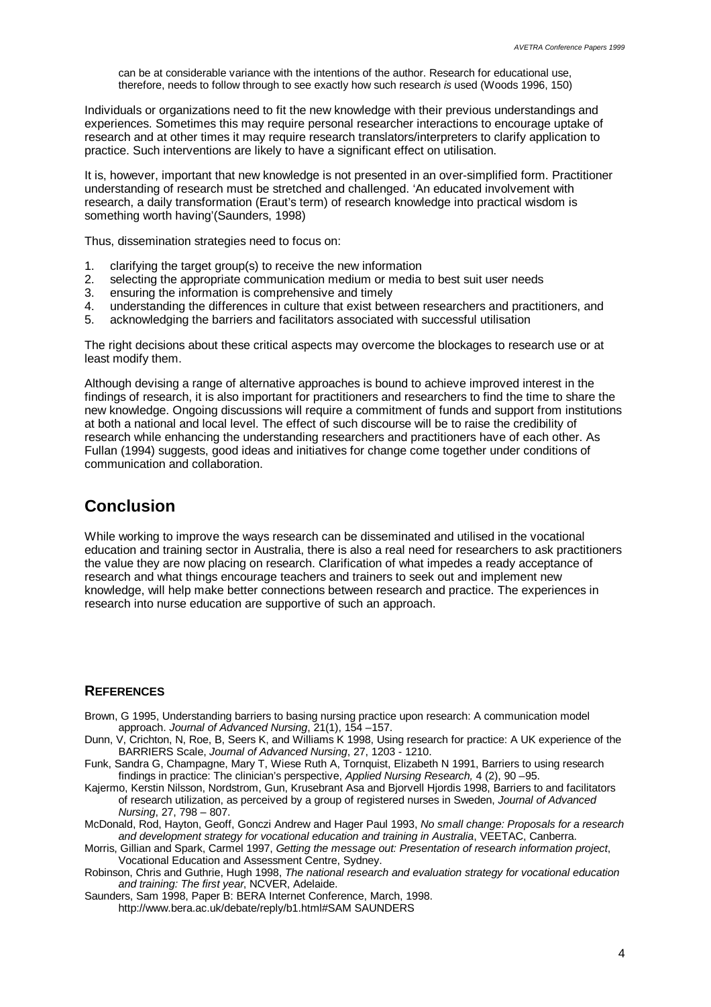can be at considerable variance with the intentions of the author. Research for educational use, therefore, needs to follow through to see exactly how such research *is* used (Woods 1996, 150)

Individuals or organizations need to fit the new knowledge with their previous understandings and experiences. Sometimes this may require personal researcher interactions to encourage uptake of research and at other times it may require research translators/interpreters to clarify application to practice. Such interventions are likely to have a significant effect on utilisation.

It is, however, important that new knowledge is not presented in an over-simplified form. Practitioner understanding of research must be stretched and challenged. 'An educated involvement with research, a daily transformation (Eraut's term) of research knowledge into practical wisdom is something worth having'(Saunders, 1998)

Thus, dissemination strategies need to focus on:

- 1. clarifying the target group(s) to receive the new information
- 2. selecting the appropriate communication medium or media to best suit user needs<br>3. ensuring the information is comprehensive and timely
- ensuring the information is comprehensive and timely
- 4. understanding the differences in culture that exist between researchers and practitioners, and 5. acknowledging the barriers and facilitators associated with successful utilisation
- acknowledging the barriers and facilitators associated with successful utilisation

The right decisions about these critical aspects may overcome the blockages to research use or at least modify them.

Although devising a range of alternative approaches is bound to achieve improved interest in the findings of research, it is also important for practitioners and researchers to find the time to share the new knowledge. Ongoing discussions will require a commitment of funds and support from institutions at both a national and local level. The effect of such discourse will be to raise the credibility of research while enhancing the understanding researchers and practitioners have of each other. As Fullan (1994) suggests, good ideas and initiatives for change come together under conditions of communication and collaboration.

#### **Conclusion**

While working to improve the ways research can be disseminated and utilised in the vocational education and training sector in Australia, there is also a real need for researchers to ask practitioners the value they are now placing on research. Clarification of what impedes a ready acceptance of research and what things encourage teachers and trainers to seek out and implement new knowledge, will help make better connections between research and practice. The experiences in research into nurse education are supportive of such an approach.

#### **REFERENCES**

- Brown, G 1995, Understanding barriers to basing nursing practice upon research: A communication model approach. *Journal of Advanced Nursing*, 21(1), 154 –157.
- Dunn, V, Crichton, N, Roe, B, Seers K, and Williams K 1998, Using research for practice: A UK experience of the BARRIERS Scale, *Journal of Advanced Nursing*, 27, 1203 - 1210.
- Funk, Sandra G, Champagne, Mary T, Wiese Ruth A, Tornquist, Elizabeth N 1991, Barriers to using research findings in practice: The clinician's perspective, *Applied Nursing Research,* 4 (2), 90 –95.
- Kajermo, Kerstin Nilsson, Nordstrom, Gun, Krusebrant Asa and Bjorvell Hjordis 1998, Barriers to and facilitators of research utilization, as perceived by a group of registered nurses in Sweden, *Journal of Advanced Nursing*, 27, 798 – 807.

McDonald, Rod, Hayton, Geoff, Gonczi Andrew and Hager Paul 1993, *No small change: Proposals for a research and development strategy for vocational education and training in Australia*, VEETAC, Canberra.

Morris, Gillian and Spark, Carmel 1997, *Getting the message out: Presentation of research information project*, Vocational Education and Assessment Centre, Sydney.

Robinson, Chris and Guthrie, Hugh 1998, *The national research and evaluation strategy for vocational education and training: The first year*, NCVER, Adelaide.

Saunders, Sam 1998, Paper B: BERA Internet Conference, March, 1998. http://www.bera.ac.uk/debate/reply/b1.html#SAM SAUNDERS